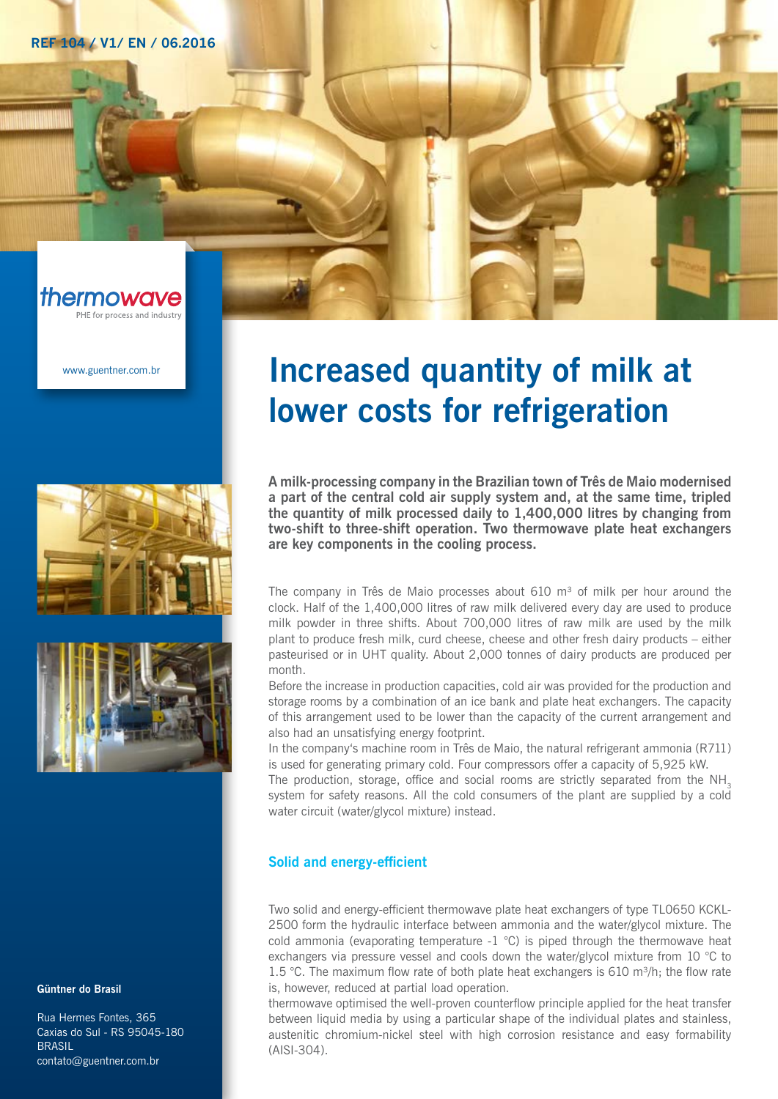**REF 104 / V1/ EN / 06.2016**



www.guentner.com.br



#### Güntner do Brasil

Rua Hermes Fontes, 365 Caxias do Sul - RS 95045-180 **BRASIL** contato@guentner.com.br

# Increased quantity of milk at lower costs for refrigeration

A milk-processing company in the Brazilian town of Três de Maio modernised a part of the central cold air supply system and, at the same time, tripled the quantity of milk processed daily to 1,400,000 litres by changing from two-shift to three-shift operation. Two thermowave plate heat exchangers are key components in the cooling process.

The company in Três de Maio processes about  $610 \text{ m}^3$  of milk per hour around the clock. Half of the 1,400,000 litres of raw milk delivered every day are used to produce milk powder in three shifts. About 700,000 litres of raw milk are used by the milk plant to produce fresh milk, curd cheese, cheese and other fresh dairy products – either pasteurised or in UHT quality. About 2,000 tonnes of dairy products are produced per month.

Before the increase in production capacities, cold air was provided for the production and storage rooms by a combination of an ice bank and plate heat exchangers. The capacity of this arrangement used to be lower than the capacity of the current arrangement and also had an unsatisfying energy footprint.

In the company's machine room in Três de Maio, the natural refrigerant ammonia (R711) is used for generating primary cold. Four compressors offer a capacity of 5,925 kW.

The production, storage, office and social rooms are strictly separated from the  $NH<sub>3</sub>$ system for safety reasons. All the cold consumers of the plant are supplied by a cold water circuit (water/glycol mixture) instead.

## Solid and energy-efficient

Two solid and energy-efficient thermowave plate heat exchangers of type TL0650 KCKL-2500 form the hydraulic interface between ammonia and the water/glycol mixture. The cold ammonia (evaporating temperature  $-1$  °C) is piped through the thermowave heat exchangers via pressure vessel and cools down the water/glycol mixture from 10 °C to 1.5 °C. The maximum flow rate of both plate heat exchangers is 610 m<sup>3</sup>/h; the flow rate is, however, reduced at partial load operation.

thermowave optimised the well-proven counterflow principle applied for the heat transfer between liquid media by using a particular shape of the individual plates and stainless, austenitic chromium-nickel steel with high corrosion resistance and easy formability (AISI-304).